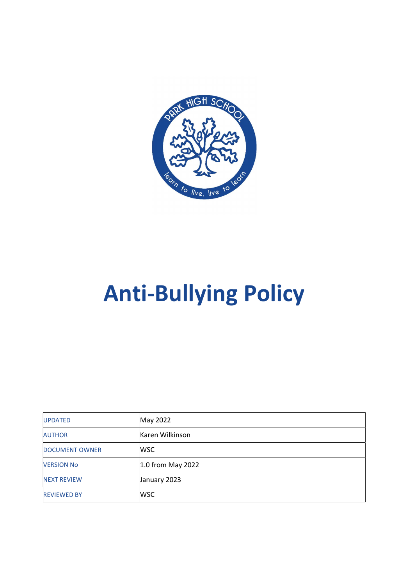

# Anti-Bullying Policy

| <b>UPDATED</b>        | May 2022            |
|-----------------------|---------------------|
| <b>AUTHOR</b>         | Karen Wilkinson     |
| <b>DOCUMENT OWNER</b> | <b>WSC</b>          |
| <b>VERSION No</b>     | $1.0$ from May 2022 |
| <b>NEXT REVIEW</b>    | January 2023        |
| <b>REVIEWED BY</b>    | WSC                 |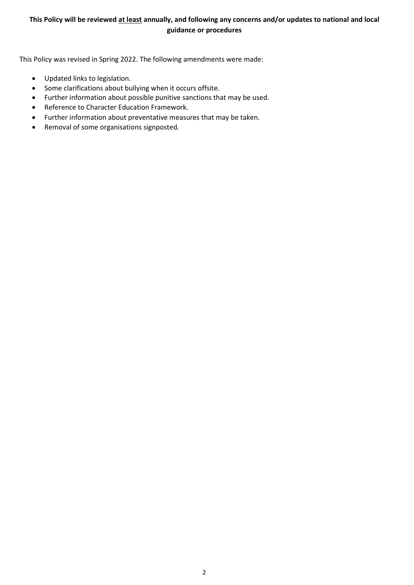# This Policy will be reviewed at least annually, and following any concerns and/or updates to national and local guidance or procedures

This Policy was revised in Spring 2022. The following amendments were made:

- Updated links to legislation.
- Some clarifications about bullying when it occurs offsite.
- Further information about possible punitive sanctions that may be used.
- Reference to Character Education Framework.
- Further information about preventative measures that may be taken.
- Removal of some organisations signposted.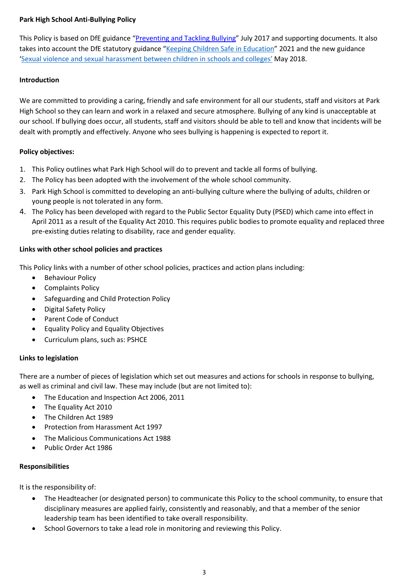# Park High School Anti-Bullying Policy

This Policy is based on DfE guidance "Preventing and Tackling Bullying" July 2017 and supporting documents. It also takes into account the DfE statutory guidance "Keeping Children Safe in Education" 2021 and the new guidance 'Sexual violence and sexual harassment between children in schools and colleges' May 2018.

### Introduction

We are committed to providing a caring, friendly and safe environment for all our students, staff and visitors at Park High School so they can learn and work in a relaxed and secure atmosphere. Bullying of any kind is unacceptable at our school. If bullying does occur, all students, staff and visitors should be able to tell and know that incidents will be dealt with promptly and effectively. Anyone who sees bullying is happening is expected to report it.

# Policy objectives:

- 1. This Policy outlines what Park High School will do to prevent and tackle all forms of bullying.
- 2. The Policy has been adopted with the involvement of the whole school community.
- 3. Park High School is committed to developing an anti-bullying culture where the bullying of adults, children or young people is not tolerated in any form.
- 4. The Policy has been developed with regard to the Public Sector Equality Duty (PSED) which came into effect in April 2011 as a result of the Equality Act 2010. This requires public bodies to promote equality and replaced three pre-existing duties relating to disability, race and gender equality.

#### Links with other school policies and practices

This Policy links with a number of other school policies, practices and action plans including:

- Behaviour Policy
- Complaints Policy
- Safeguarding and Child Protection Policy
- Digital Safety Policy
- Parent Code of Conduct
- Equality Policy and Equality Objectives
- Curriculum plans, such as: PSHCE

# Links to legislation

There are a number of pieces of legislation which set out measures and actions for schools in response to bullying, as well as criminal and civil law. These may include (but are not limited to):

- The Education and Inspection Act 2006, 2011
- The Equality Act 2010
- The Children Act 1989
- Protection from Harassment Act 1997
- The Malicious Communications Act 1988
- Public Order Act 1986

# Responsibilities

It is the responsibility of:

- The Headteacher (or designated person) to communicate this Policy to the school community, to ensure that disciplinary measures are applied fairly, consistently and reasonably, and that a member of the senior leadership team has been identified to take overall responsibility.
- School Governors to take a lead role in monitoring and reviewing this Policy.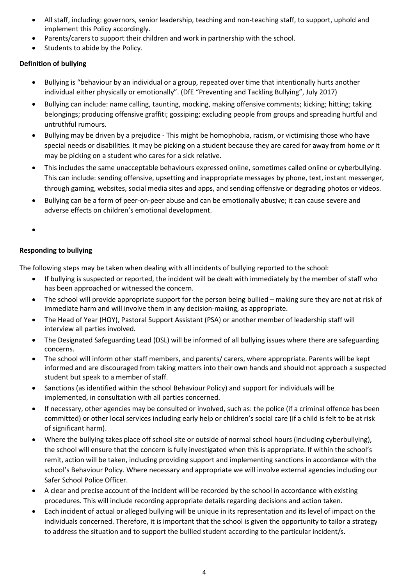- All staff, including: governors, senior leadership, teaching and non-teaching staff, to support, uphold and implement this Policy accordingly.
- Parents/carers to support their children and work in partnership with the school.
- Students to abide by the Policy.

# Definition of bullying

- Bullying is "behaviour by an individual or a group, repeated over time that intentionally hurts another individual either physically or emotionally". (DfE "Preventing and Tackling Bullying", July 2017)
- Bullying can include: name calling, taunting, mocking, making offensive comments; kicking; hitting; taking belongings; producing offensive graffiti; gossiping; excluding people from groups and spreading hurtful and untruthful rumours.
- Bullying may be driven by a prejudice This might be homophobia, racism, or victimising those who have special needs or disabilities. It may be picking on a student because they are cared for away from home or it may be picking on a student who cares for a sick relative.
- This includes the same unacceptable behaviours expressed online, sometimes called online or cyberbullying. This can include: sending offensive, upsetting and inappropriate messages by phone, text, instant messenger, through gaming, websites, social media sites and apps, and sending offensive or degrading photos or videos.
- Bullying can be a form of peer-on-peer abuse and can be emotionally abusive; it can cause severe and adverse effects on children's emotional development.

 $\bullet$ 

# Responding to bullying

The following steps may be taken when dealing with all incidents of bullying reported to the school:

- If bullying is suspected or reported, the incident will be dealt with immediately by the member of staff who has been approached or witnessed the concern.
- The school will provide appropriate support for the person being bullied making sure they are not at risk of immediate harm and will involve them in any decision-making, as appropriate.
- The Head of Year (HOY), Pastoral Support Assistant (PSA) or another member of leadership staff will interview all parties involved.
- The Designated Safeguarding Lead (DSL) will be informed of all bullying issues where there are safeguarding concerns.
- The school will inform other staff members, and parents/ carers, where appropriate. Parents will be kept informed and are discouraged from taking matters into their own hands and should not approach a suspected student but speak to a member of staff.
- Sanctions (as identified within the school Behaviour Policy) and support for individuals will be implemented, in consultation with all parties concerned.
- If necessary, other agencies may be consulted or involved, such as: the police (if a criminal offence has been committed) or other local services including early help or children's social care (if a child is felt to be at risk of significant harm).
- Where the bullying takes place off school site or outside of normal school hours (including cyberbullying), the school will ensure that the concern is fully investigated when this is appropriate. If within the school's remit, action will be taken, including providing support and implementing sanctions in accordance with the school's Behaviour Policy. Where necessary and appropriate we will involve external agencies including our Safer School Police Officer.
- A clear and precise account of the incident will be recorded by the school in accordance with existing procedures. This will include recording appropriate details regarding decisions and action taken.
- Each incident of actual or alleged bullying will be unique in its representation and its level of impact on the individuals concerned. Therefore, it is important that the school is given the opportunity to tailor a strategy to address the situation and to support the bullied student according to the particular incident/s.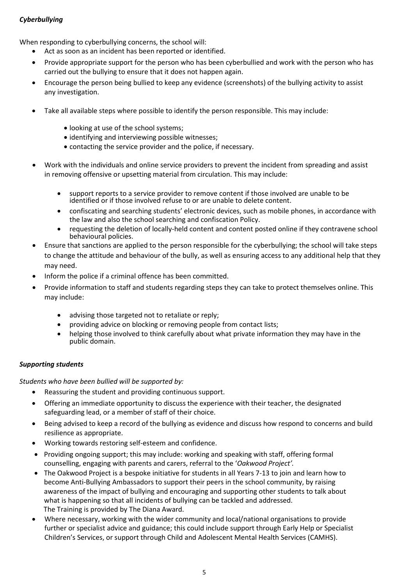# **Cyberbullying**

When responding to cyberbullying concerns, the school will:

- Act as soon as an incident has been reported or identified.
- Provide appropriate support for the person who has been cyberbullied and work with the person who has carried out the bullying to ensure that it does not happen again.
- Encourage the person being bullied to keep any evidence (screenshots) of the bullying activity to assist any investigation.
- Take all available steps where possible to identify the person responsible. This may include:
	- looking at use of the school systems;
	- identifying and interviewing possible witnesses;
	- contacting the service provider and the police, if necessary.
- Work with the individuals and online service providers to prevent the incident from spreading and assist in removing offensive or upsetting material from circulation. This may include:
	- support reports to a service provider to remove content if those involved are unable to be identified or if those involved refuse to or are unable to delete content.
	- confiscating and searching students' electronic devices, such as mobile phones, in accordance with the law and also the school searching and confiscation Policy.
	- requesting the deletion of locally-held content and content posted online if they contravene school behavioural policies.
- Ensure that sanctions are applied to the person responsible for the cyberbullying; the school will take steps to change the attitude and behaviour of the bully, as well as ensuring access to any additional help that they may need.
- Inform the police if a criminal offence has been committed.
- Provide information to staff and students regarding steps they can take to protect themselves online. This may include:
	- advising those targeted not to retaliate or reply;
	- providing advice on blocking or removing people from contact lists;
	- helping those involved to think carefully about what private information they may have in the public domain.

# Supporting students

Students who have been bullied will be supported by:

- Reassuring the student and providing continuous support.
- Offering an immediate opportunity to discuss the experience with their teacher, the designated safeguarding lead, or a member of staff of their choice.
- Being advised to keep a record of the bullying as evidence and discuss how respond to concerns and build resilience as appropriate.
- Working towards restoring self-esteem and confidence.
- Providing ongoing support; this may include: working and speaking with staff, offering formal counselling, engaging with parents and carers, referral to the 'Oakwood Project'.
- The Oakwood Project is a bespoke initiative for students in all Years 7-13 to join and learn how to become Anti-Bullying Ambassadors to support their peers in the school community, by raising awareness of the impact of bullying and encouraging and supporting other students to talk about what is happening so that all incidents of bullying can be tackled and addressed. The Training is provided by The Diana Award.
- Where necessary, working with the wider community and local/national organisations to provide further or specialist advice and guidance; this could include support through Early Help or Specialist Children's Services, or support through Child and Adolescent Mental Health Services (CAMHS).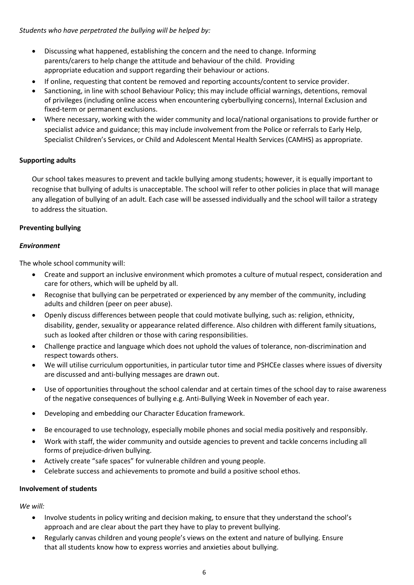Students who have perpetrated the bullying will be helped by:

- Discussing what happened, establishing the concern and the need to change. Informing parents/carers to help change the attitude and behaviour of the child. Providing appropriate education and support regarding their behaviour or actions.
- If online, requesting that content be removed and reporting accounts/content to service provider.
- Sanctioning, in line with school Behaviour Policy; this may include official warnings, detentions, removal of privileges (including online access when encountering cyberbullying concerns), Internal Exclusion and fixed-term or permanent exclusions.
- Where necessary, working with the wider community and local/national organisations to provide further or specialist advice and guidance; this may include involvement from the Police or referrals to Early Help, Specialist Children's Services, or Child and Adolescent Mental Health Services (CAMHS) as appropriate.

# Supporting adults

Our school takes measures to prevent and tackle bullying among students; however, it is equally important to recognise that bullying of adults is unacceptable. The school will refer to other policies in place that will manage any allegation of bullying of an adult. Each case will be assessed individually and the school will tailor a strategy to address the situation.

#### Preventing bullying

#### Environment

The whole school community will:

- Create and support an inclusive environment which promotes a culture of mutual respect, consideration and care for others, which will be upheld by all.
- Recognise that bullying can be perpetrated or experienced by any member of the community, including adults and children (peer on peer abuse).
- Openly discuss differences between people that could motivate bullying, such as: religion, ethnicity, disability, gender, sexuality or appearance related difference. Also children with different family situations, such as looked after children or those with caring responsibilities.
- Challenge practice and language which does not uphold the values of tolerance, non-discrimination and respect towards others.
- We will utilise curriculum opportunities, in particular tutor time and PSHCEe classes where issues of diversity are discussed and anti-bullying messages are drawn out.
- Use of opportunities throughout the school calendar and at certain times of the school day to raise awareness of the negative consequences of bullying e.g. Anti-Bullying Week in November of each year.
- Developing and embedding our Character Education framework.
- Be encouraged to use technology, especially mobile phones and social media positively and responsibly.
- Work with staff, the wider community and outside agencies to prevent and tackle concerns including all forms of prejudice-driven bullying.
- Actively create "safe spaces" for vulnerable children and young people.
- Celebrate success and achievements to promote and build a positive school ethos.

#### Involvement of students

We will:

- Involve students in policy writing and decision making, to ensure that they understand the school's approach and are clear about the part they have to play to prevent bullying.
- Regularly canvas children and young people's views on the extent and nature of bullying. Ensure that all students know how to express worries and anxieties about bullying.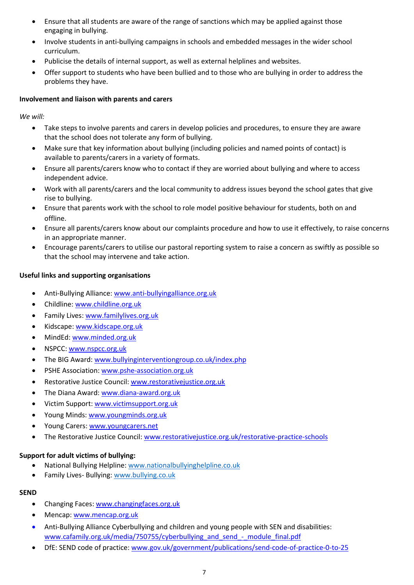- Ensure that all students are aware of the range of sanctions which may be applied against those engaging in bullying.
- Involve students in anti-bullying campaigns in schools and embedded messages in the wider school curriculum.
- Publicise the details of internal support, as well as external helplines and websites.
- Offer support to students who have been bullied and to those who are bullying in order to address the problems they have.

#### Involvement and liaison with parents and carers

We will:

- Take steps to involve parents and carers in develop policies and procedures, to ensure they are aware that the school does not tolerate any form of bullying.
- Make sure that key information about bullying (including policies and named points of contact) is available to parents/carers in a variety of formats.
- Ensure all parents/carers know who to contact if they are worried about bullying and where to access independent advice.
- Work with all parents/carers and the local community to address issues beyond the school gates that give rise to bullying.
- Ensure that parents work with the school to role model positive behaviour for students, both on and offline.
- Ensure all parents/carers know about our complaints procedure and how to use it effectively, to raise concerns in an appropriate manner.
- Encourage parents/carers to utilise our pastoral reporting system to raise a concern as swiftly as possible so that the school may intervene and take action.

# Useful links and supporting organisations

- Anti-Bullying Alliance: www.anti-bullyingalliance.org.uk
- Childline: www.childline.org.uk
- Family Lives: www.familylives.org.uk
- Kidscape: www.kidscape.org.uk
- MindEd: www.minded.org.uk
- NSPCC: www.nspcc.org.uk
- The BIG Award: www.bullyinginterventiongroup.co.uk/index.php
- PSHE Association: www.pshe-association.org.uk
- Restorative Justice Council: www.restorativejustice.org.uk
- The Diana Award: www.diana-award.org.uk
- Victim Support: www.victimsupport.org.uk
- Young Minds: www.youngminds.org.uk
- Young Carers: www.youngcarers.net
- The Restorative Justice Council: www.restorativejustice.org.uk/restorative-practice-schools

# Support for adult victims of bullying:

- National Bullying Helpline: www.nationalbullyinghelpline.co.uk
- Family Lives- Bullying: www.bullying.co.uk

# SEND

- Changing Faces: www.changingfaces.org.uk
- Mencap: www.mencap.org.uk
- Anti-Bullying Alliance Cyberbullying and children and young people with SEN and disabilities: www.cafamily.org.uk/media/750755/cyberbullying\_and\_send\_-\_module\_final.pdf
- DfE: SEND code of practice: www.gov.uk/government/publications/send-code-of-practice-0-to-25